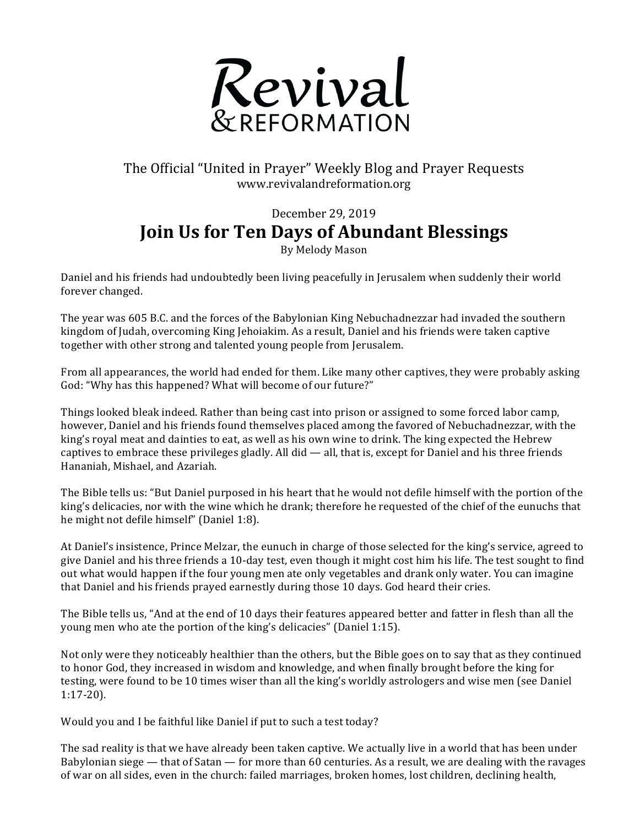

## The Official "United in Prayer" Weekly Blog and Prayer Requests www.revivalandreformation.org

## December 29, 2019 **Join Us for Ten Days of Abundant Blessings**

By Melody Mason

Daniel and his friends had undoubtedly been living peacefully in Jerusalem when suddenly their world forever changed.

The year was 605 B.C. and the forces of the Babylonian King Nebuchadnezzar had invaded the southern kingdom of Judah, overcoming King Jehoiakim. As a result, Daniel and his friends were taken captive together with other strong and talented young people from Jerusalem.

From all appearances, the world had ended for them. Like many other captives, they were probably asking God: "Why has this happened? What will become of our future?"

Things looked bleak indeed. Rather than being cast into prison or assigned to some forced labor camp, however, Daniel and his friends found themselves placed among the favored of Nebuchadnezzar, with the king's royal meat and dainties to eat, as well as his own wine to drink. The king expected the Hebrew captives to embrace these privileges gladly. All did  $-$  all, that is, except for Daniel and his three friends Hananiah, Mishael, and Azariah.

The Bible tells us: "But Daniel purposed in his heart that he would not defile himself with the portion of the king's delicacies, nor with the wine which he drank; therefore he requested of the chief of the eunuchs that he might not defile himself" (Daniel 1:8).

At Daniel's insistence, Prince Melzar, the eunuch in charge of those selected for the king's service, agreed to give Daniel and his three friends a 10-day test, even though it might cost him his life. The test sought to find out what would happen if the four young men ate only vegetables and drank only water. You can imagine that Daniel and his friends prayed earnestly during those 10 days. God heard their cries.

The Bible tells us, "And at the end of 10 days their features appeared better and fatter in flesh than all the young men who ate the portion of the king's delicacies" (Daniel 1:15).

Not only were they noticeably healthier than the others, but the Bible goes on to say that as they continued to honor God, they increased in wisdom and knowledge, and when finally brought before the king for testing, were found to be 10 times wiser than all the king's worldly astrologers and wise men (see Daniel 1:17-20).

Would you and I be faithful like Daniel if put to such a test today?

The sad reality is that we have already been taken captive. We actually live in a world that has been under Babylonian siege — that of Satan — for more than 60 centuries. As a result, we are dealing with the ravages of war on all sides, even in the church: failed marriages, broken homes, lost children, declining health,